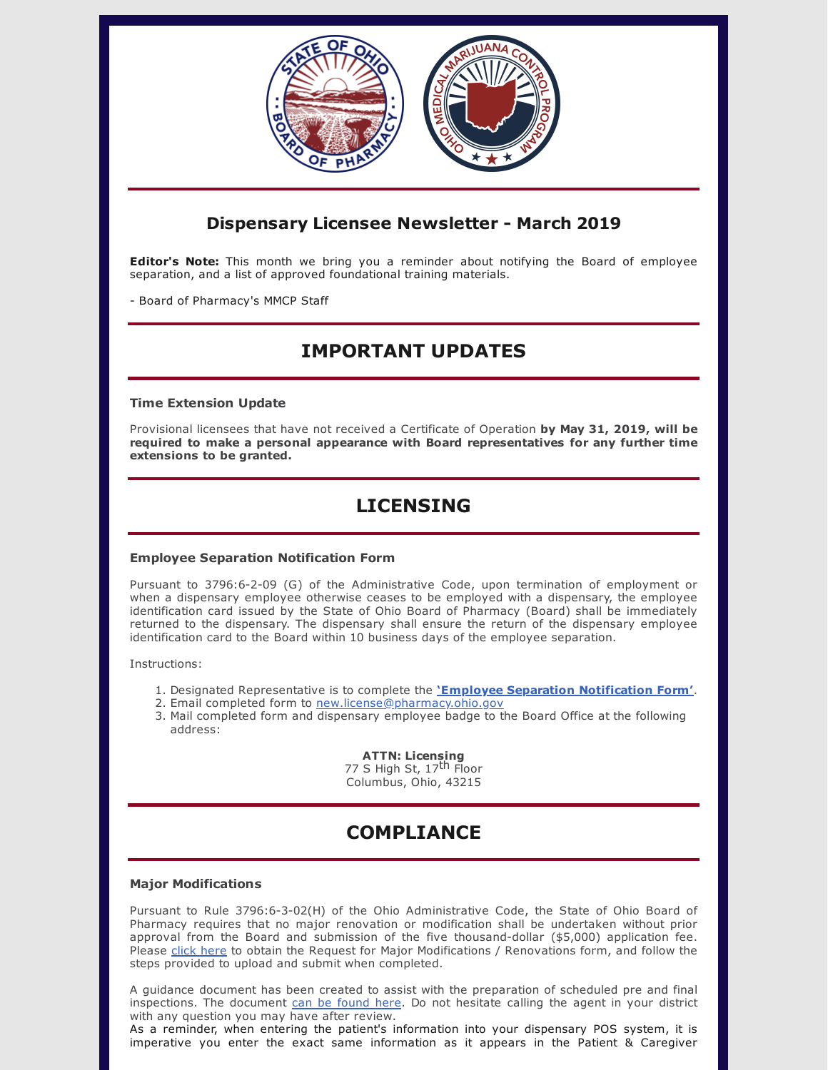

### **Dispensary Licensee Newsletter - March 2019**

**Editor's Note:** This month we bring you a reminder about notifying the Board of employee separation, and a list of approved foundational training materials.

- Board of Pharmacy's MMCP Staff

## **IMPORTANT UPDATES**

#### **Time Extension Update**

Provisional licensees that have not received a Certificate of Operation **by May 31, 2019, will be required to make a personal appearance with Board representatives for any further time extensions to be granted.**

# **LICENSING**

### **Employee Separation Notification Form**

Pursuant to 3796:6-2-09 (G) of the Administrative Code, upon termination of employment or when a dispensary employee otherwise ceases to be employed with a dispensary, the employee identification card issued by the State of Ohio Board of Pharmacy (Board) shall be immediately returned to the dispensary. The dispensary shall ensure the return of the dispensary employee identification card to the Board within 10 business days of the employee separation.

Instructions:

- 1. Designated Representative is to complete the **'Employee Separation [Notification](https://medicalmarijuana.ohio.gov/Documents/LicenseeResources/Dispensary%20Licensee%20Resources/DISPENSARY%20EMPLOYEE%20LICENSING/Employee%20Separation%20Form.pdf) Form'**.
- 2. Email completed form to [new.license@pharmacy.ohio.gov](mailto:new.license@pharmacy.ohio.gov)
- 3. Mail completed form and dispensary employee badge to the Board Office at the following address:

### **ATTN: Licensing**

77 S High St, 17<sup>th</sup> Floor Columbus, Ohio, 43215

## **COMPLIANCE**

#### **Major Modifications**

Pursuant to Rule 3796:6-3-02(H) of the Ohio Administrative Code, the State of Ohio Board of Pharmacy requires that no major renovation or modification shall be undertaken without prior approval from the Board and submission of the five thousand-dollar (\$5,000) application fee. Please click [here](https://www.medicalmarijuana.ohio.gov/Documents/LicenseeResources/Dispensary%20Licensee%20Resources/DISPENSARY%20GENERAL%20OPERATIONS/Request%20for%20Major%20Modications%20&%20Renovations.pdf) to obtain the Request for Major Modifications / Renovations form, and follow the steps provided to upload and submit when completed.

A guidance document has been created to assist with the preparation of scheduled pre and final inspections. The document can be [found](https://www.medicalmarijuana.ohio.gov/Documents/LicenseeResources/Dispensary%20Licensee%20Resources/Dispensary%20Compliance%20for%20Provisional%20Licensees/What%20Provisional%20Dispensary%20Licensees%20Can%20Expect%20During%20An%20Inspection.pdf) here. Do not hesitate calling the agent in your district with any question you may have after review.

As a reminder, when entering the patient's information into your dispensary POS system, it is imperative you enter the exact same information as it appears in the Patient & Caregiver